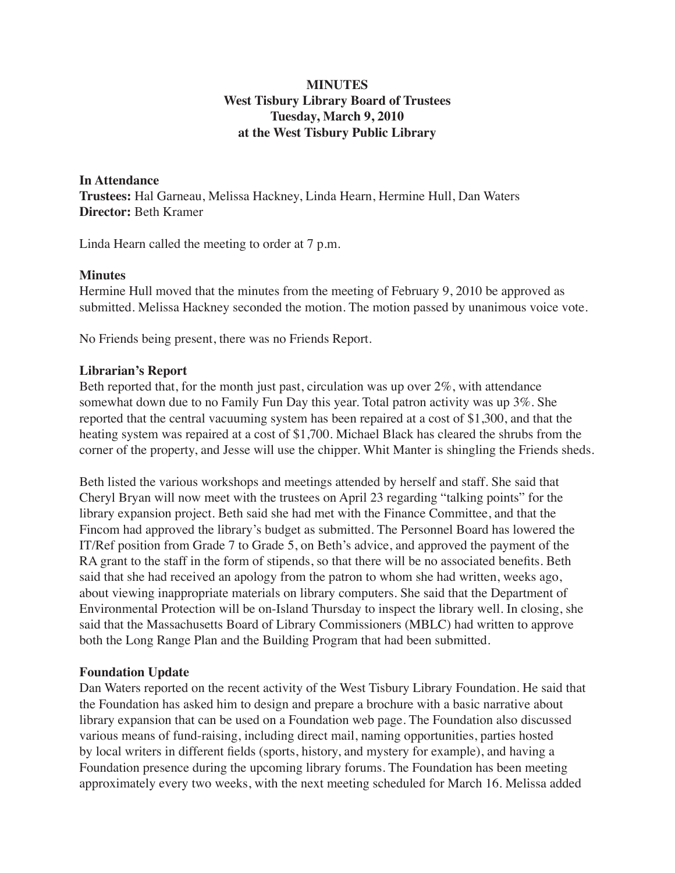# **MINUTES West Tisbury Library Board of Trustees Tuesday, March 9, 2010 at the West Tisbury Public Library**

**In Attendance Trustees:** Hal Garneau, Melissa Hackney, Linda Hearn, Hermine Hull, Dan Waters **Director:** Beth Kramer

Linda Hearn called the meeting to order at 7 p.m.

### **Minutes**

Hermine Hull moved that the minutes from the meeting of February 9, 2010 be approved as submitted. Melissa Hackney seconded the motion. The motion passed by unanimous voice vote.

No Friends being present, there was no Friends Report.

## **Librarian's Report**

Beth reported that, for the month just past, circulation was up over 2%, with attendance somewhat down due to no Family Fun Day this year. Total patron activity was up 3%. She reported that the central vacuuming system has been repaired at a cost of \$1,300, and that the heating system was repaired at a cost of \$1,700. Michael Black has cleared the shrubs from the corner of the property, and Jesse will use the chipper. Whit Manter is shingling the Friends sheds.

Beth listed the various workshops and meetings attended by herself and staff. She said that Cheryl Bryan will now meet with the trustees on April 23 regarding "talking points" for the library expansion project. Beth said she had met with the Finance Committee, and that the Fincom had approved the library's budget as submitted. The Personnel Board has lowered the IT/Ref position from Grade 7 to Grade 5, on Beth's advice, and approved the payment of the RA grant to the staff in the form of stipends, so that there will be no associated benefits. Beth said that she had received an apology from the patron to whom she had written, weeks ago, about viewing inappropriate materials on library computers. She said that the Department of Environmental Protection will be on-Island Thursday to inspect the library well. In closing, she said that the Massachusetts Board of Library Commissioners (MBLC) had written to approve both the Long Range Plan and the Building Program that had been submitted.

## **Foundation Update**

Dan Waters reported on the recent activity of the West Tisbury Library Foundation. He said that the Foundation has asked him to design and prepare a brochure with a basic narrative about library expansion that can be used on a Foundation web page. The Foundation also discussed various means of fund-raising, including direct mail, naming opportunities, parties hosted by local writers in different fields (sports, history, and mystery for example), and having a Foundation presence during the upcoming library forums. The Foundation has been meeting approximately every two weeks, with the next meeting scheduled for March 16. Melissa added